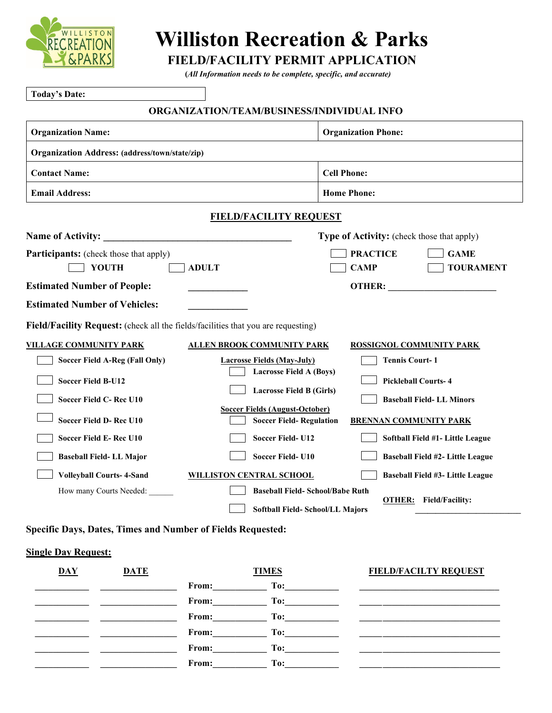

# **Williston Recreation & Parks**

**FIELD/FACILITY PERMIT APPLICATION (***All Information needs to be complete, specific, and accurate)*

| <b>Today's Date:</b>                                                              |                                                                                                           |
|-----------------------------------------------------------------------------------|-----------------------------------------------------------------------------------------------------------|
|                                                                                   | ORGANIZATION/TEAM/BUSINESS/INDIVIDUAL INFO                                                                |
| <b>Organization Name:</b>                                                         | <b>Organization Phone:</b>                                                                                |
| <b>Organization Address:</b> (address/town/state/zip)                             |                                                                                                           |
| <b>Contact Name:</b>                                                              | <b>Cell Phone:</b>                                                                                        |
| <b>Email Address:</b>                                                             | <b>Home Phone:</b>                                                                                        |
|                                                                                   | <b>FIELD/FACILITY REQUEST</b>                                                                             |
| <b>Name of Activity:</b>                                                          | <b>Type of Activity:</b> (check those that apply)                                                         |
| <b>Participants:</b> (check those that apply)<br><b>YOUTH</b>                     | <b>GAME</b><br><b>PRACTICE</b><br><b>CAMP</b><br><b>TOURAMENT</b><br><b>ADULT</b>                         |
| <b>Estimated Number of People:</b>                                                | <b>OTHER:</b>                                                                                             |
| <b>Estimated Number of Vehicles:</b>                                              |                                                                                                           |
| Field/Facility Request: (check all the fields/facilities that you are requesting) |                                                                                                           |
| <b>VILLAGE COMMUNITY PARK</b>                                                     | <b>ALLEN BROOK COMMUNITY PARK</b><br><b>ROSSIGNOL COMMUNITY PARK</b>                                      |
| Soccer Field A-Reg (Fall Only)                                                    | <b>Tennis Court-1</b><br><b>Lacrosse Fields (May-July)</b>                                                |
| <b>Soccer Field B-U12</b>                                                         | <b>Lacrosse Field A (Boys)</b><br><b>Pickleball Courts-4</b>                                              |
| Soccer Field C-Rec U10                                                            | <b>Lacrosse Field B (Girls)</b><br><b>Baseball Field-LL Minors</b>                                        |
| Soccer Field D-Rec U10                                                            | <b>Soccer Fields (August-October)</b><br><b>Soccer Field- Regulation</b><br><b>BRENNAN COMMUNITY PARK</b> |
| Soccer Field E-Rec U10                                                            | <b>Soccer Field-U12</b><br>Softball Field #1- Little League                                               |
| <b>Baseball Field-LL Major</b>                                                    | <b>Soccer Field-U10</b><br>Baseball Field #2- Little League                                               |
| <b>Volleyball Courts-4-Sand</b>                                                   | <b>WILLISTON CENTRAL SCHOOL</b><br>Baseball Field #3- Little League                                       |
| How many Courts Needed:                                                           | <b>Baseball Field- School/Babe Ruth</b>                                                                   |
|                                                                                   | <b>OTHER:</b> Field/Facility:<br>Softball Field-School/LL Majors                                          |

**Specific Days, Dates, Times and Number of Fields Requested:** 

# **Single Day Request:**

| <b>DAY</b> | <b>DATE</b> | <b>TIMES</b> |                                                                                                                                                                                                                                | <b>FIELD/FACILTY REQUEST</b> |
|------------|-------------|--------------|--------------------------------------------------------------------------------------------------------------------------------------------------------------------------------------------------------------------------------|------------------------------|
|            |             | From:        | To:                                                                                                                                                                                                                            |                              |
|            |             | From:        | To: the contract of the contract of the contract of the contract of the contract of the contract of the contract of the contract of the contract of the contract of the contract of the contract of the contract of the contra |                              |
|            |             | From:        | To: The contract of the contract of the contract of the contract of the contract of the contract of the contract of the contract of the contract of the contract of the contract of the contract of the contract of the contra |                              |
|            |             | From:        | To:                                                                                                                                                                                                                            |                              |
|            |             | From:        | To: The contract of the contract of the contract of the contract of the contract of the contract of the contract of the contract of the contract of the contract of the contract of the contract of the contract of the contra |                              |
|            |             | From:        | To:                                                                                                                                                                                                                            |                              |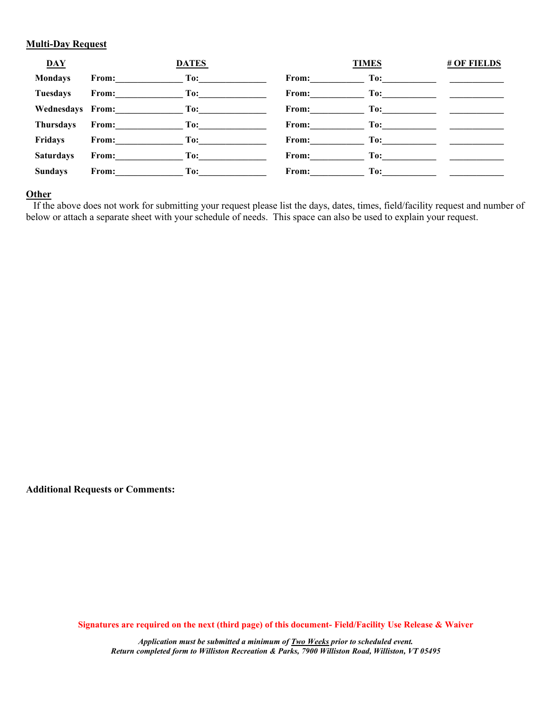#### **Multi-Day Request**

| <b>DAY</b>       |                                                                                                                                                                                                                                | <b>DATES</b>                                         |                       | <b>TIMES</b>                                                                                                                                                                                                                   | <b># OF FIELDS</b>                                                                                                   |
|------------------|--------------------------------------------------------------------------------------------------------------------------------------------------------------------------------------------------------------------------------|------------------------------------------------------|-----------------------|--------------------------------------------------------------------------------------------------------------------------------------------------------------------------------------------------------------------------------|----------------------------------------------------------------------------------------------------------------------|
| <b>Mondays</b>   | From:                                                                                                                                                                                                                          | $\Gamma$ 0: $\begin{array}{ccc}\n\Gamma \end{array}$ | From: $\qquad \qquad$ |                                                                                                                                                                                                                                |                                                                                                                      |
| <b>Tuesdays</b>  | From: The contract of the state of the state of the state of the state of the state of the state of the state of the state of the state of the state of the state of the state of the state of the state of the state of the s |                                                      | From: $\qquad \qquad$ | $\Gamma$ 0: $\qquad \qquad \qquad$                                                                                                                                                                                             |                                                                                                                      |
|                  | Wednesdays From: To:                                                                                                                                                                                                           |                                                      | From: $\qquad \qquad$ |                                                                                                                                                                                                                                |                                                                                                                      |
| <b>Thursdays</b> | From: To:                                                                                                                                                                                                                      |                                                      | From:                 |                                                                                                                                                                                                                                |                                                                                                                      |
| <b>Fridays</b>   | From:                                                                                                                                                                                                                          | $\Gamma$ o: $\qquad \qquad$                          | From: $\qquad \qquad$ |                                                                                                                                                                                                                                |                                                                                                                      |
| <b>Saturdays</b> | From: To:                                                                                                                                                                                                                      |                                                      | From:                 | To: the contract of the contract of the contract of the contract of the contract of the contract of the contract of the contract of the contract of the contract of the contract of the contract of the contract of the contra |                                                                                                                      |
| <b>Sundays</b>   | From: To:                                                                                                                                                                                                                      |                                                      | From:                 | To:                                                                                                                                                                                                                            | <u> 1980 - Jan Barbara Barbara, masa kacamatan ing Pangangan Barbara Barbara Barbara Barbara Barbara Barbara Bar</u> |

## **Other**

 If the above does not work for submitting your request please list the days, dates, times, field/facility request and number of below or attach a separate sheet with your schedule of needs. This space can also be used to explain your request.

**Additional Requests or Comments:**

**Signatures are required on the next (third page) of this document- Field/Facility Use Release & Waiver**

*Application must be submitted a minimum of Two Weeks prior to scheduled event. Return completed form to Williston Recreation & Parks, 7900 Williston Road, Williston, VT 05495*